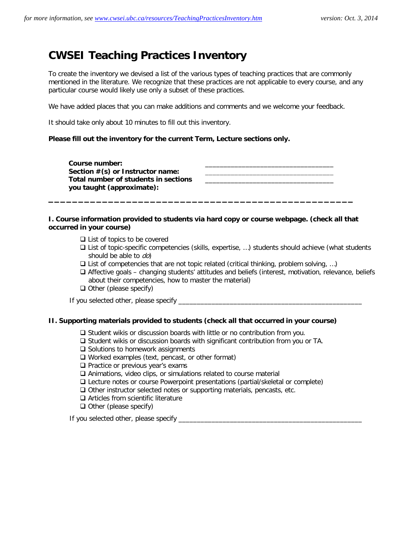# **CWSEI Teaching Practices Inventory**

To create the inventory we devised a list of the various types of teaching practices that are commonly mentioned in the literature. We recognize that these practices are not applicable to every course, and any particular course would likely use only a subset of these practices.

We have added places that you can make additions and comments and we welcome your feedback.

It should take only about 10 minutes to fill out this inventory.

#### **Please fill out the inventory for the current Term, Lecture sections only.**

Course number: Section  $\#(s)$  or Instructor name: **Total number of students in sections you taught (approximate):** \_\_\_\_\_\_\_\_\_\_\_\_\_\_\_\_\_\_\_\_\_\_\_\_\_\_\_\_\_\_\_\_\_\_\_

# **I. Course information provided to students via hard copy or course webpage. (check all that occurred in your course)**

**\_\_\_\_\_\_\_\_\_\_\_\_\_\_\_\_\_\_\_\_\_\_\_\_\_\_\_\_\_\_\_\_\_\_\_\_\_\_\_\_\_\_\_\_\_\_\_\_\_\_\_** 

- $\Box$  List of topics to be covered
- $\Box$  List of topic-specific competencies (skills, expertise, ...) students should achieve (what students should be able to do)
- $\square$  List of competencies that are not topic related (critical thinking, problem solving, ...)
- Affective goals changing students' attitudes and beliefs (interest, motivation, relevance, beliefs about their competencies, how to master the material)
- $\Box$  Other (please specify)

If you selected other, please specify  $\overline{\phantom{a}}$ 

#### **II. Supporting materials provided to students (check all that occurred in your course)**

- $\square$  Student wikis or discussion boards with little or no contribution from you.
- $\square$  Student wikis or discussion boards with significant contribution from you or TA.
- $\square$  Solutions to homework assignments
- $\Box$  Worked examples (text, pencast, or other format)
- $\Box$  Practice or previous year's exams
- Animations, video clips, or simulations related to course material
- Lecture notes or course Powerpoint presentations (partial/skeletal or complete)
- $\Box$  Other instructor selected notes or supporting materials, pencasts, etc.
- $\Box$  Articles from scientific literature
- $\Box$  Other (please specify)

If you selected other, please specify \_\_\_\_\_\_\_\_\_\_\_\_\_\_\_\_\_\_\_\_\_\_\_\_\_\_\_\_\_\_\_\_\_\_\_\_\_\_\_\_\_\_\_\_\_\_\_\_\_\_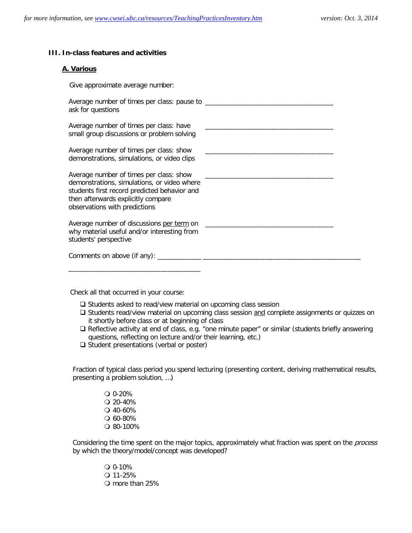#### **III. In-class features and activities**

#### **A. Various**

| ask for questions                                                                                                                                                                                             |  |
|---------------------------------------------------------------------------------------------------------------------------------------------------------------------------------------------------------------|--|
| Average number of times per class: have<br>small group discussions or problem solving                                                                                                                         |  |
| Average number of times per class: show<br>demonstrations, simulations, or video clips                                                                                                                        |  |
| Average number of times per class: show<br>demonstrations, simulations, or video where<br>students first record predicted behavior and<br>then afterwards explicitly compare<br>observations with predictions |  |
| Average number of discussions per term on<br>why material useful and/or interesting from<br>students' perspective                                                                                             |  |

Check all that occurred in your course:

- $\square$  Students asked to read/view material on upcoming class session
- □ Students read/view material on upcoming class session and complete assignments or quizzes on it shortly before class or at beginning of class
- □ Reflective activity at end of class, e.g. "one minute paper" or similar (students briefly answering questions, reflecting on lecture and/or their learning, etc.)
- $\Box$  Student presentations (verbal or poster)

Fraction of typical class period you spend lecturing (presenting content, deriving mathematical results, presenting a problem solution, …)

> 0-20%  $Q$  20-40% 40-60% 60-80% 80-100%

Considering the time spent on the major topics, approximately what fraction was spent on the *process* by which the theory/model/concept was developed?

> 0-10%  $Q$  11-25% more than 25%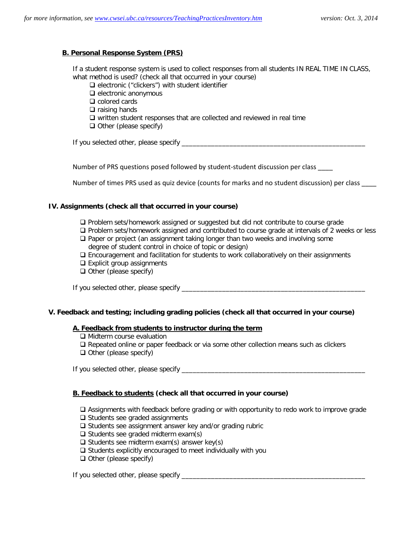# **B. Personal Response System (PRS)**

If a student response system is used to collect responses from all students IN REAL TIME IN CLASS, what method is used? (check all that occurred in your course)

 $\square$  electronic ("clickers") with student identifier

- $\Box$  electronic anonymous
- □ colored cards
- $\Box$  raising hands
- $\Box$  written student responses that are collected and reviewed in real time
- $\Box$  Other (please specify)

If you selected other, please specify \_\_\_\_\_\_\_\_\_\_\_\_\_\_\_\_\_\_\_\_\_\_\_\_\_\_\_\_\_\_\_\_\_\_\_\_\_\_\_\_\_\_\_\_\_\_\_\_\_\_

Number of PRS questions posed followed by student-student discussion per class \_\_\_\_

Number of times PRS used as quiz device (counts for marks and no student discussion) per class \_\_\_\_

# **IV. Assignments (check all that occurred in your course)**

- Problem sets/homework assigned or suggested but did not contribute to course grade
- $\Box$  Problem sets/homework assigned and contributed to course grade at intervals of 2 weeks or less  $\Box$  Paper or project (an assignment taking longer than two weeks and involving some degree of student control in choice of topic or design)
- Encouragement and facilitation for students to work collaboratively on their assignments
- $\square$  Explicit group assignments
- $\Box$  Other (please specify)

If you selected other, please specify \_\_\_\_\_\_\_\_\_\_\_\_\_\_\_\_\_\_\_\_\_\_\_\_\_\_\_\_\_\_\_\_\_\_\_\_\_\_\_\_\_\_\_\_\_\_\_\_\_\_

#### **V. Feedback and testing; including grading policies (check all that occurred in your course)**

#### **A. Feedback from students to instructor during the term**

- □ Midterm course evaluation
- Repeated online or paper feedback or via some other collection means such as clickers
- $\Box$  Other (please specify)

If you selected other, please specify \_\_\_\_\_\_\_\_\_\_\_\_\_\_\_\_\_\_\_\_\_\_\_\_\_\_\_\_\_\_\_\_\_\_\_\_\_\_\_\_\_\_\_\_\_\_\_\_\_\_

#### **B. Feedback to students (check all that occurred in your course)**

- Assignments with feedback before grading or with opportunity to redo work to improve grade
- $\Box$  Students see graded assignments
- $\square$  Students see assignment answer key and/or grading rubric
- $\Box$  Students see graded midterm exam(s)
- $\Box$  Students see midterm exam(s) answer key(s)
- $\square$  Students explicitly encouraged to meet individually with you
- $\Box$  Other (please specify)

If you selected other, please specify \_\_\_\_\_\_\_\_\_\_\_\_\_\_\_\_\_\_\_\_\_\_\_\_\_\_\_\_\_\_\_\_\_\_\_\_\_\_\_\_\_\_\_\_\_\_\_\_\_\_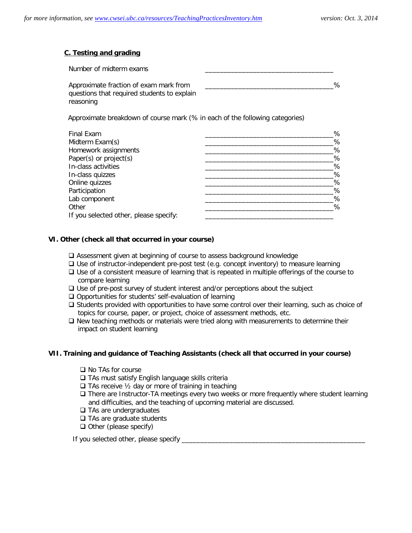# **C. Testing and grading**

| Number of midterm exams                     |   |
|---------------------------------------------|---|
| Approximate fraction of exam mark from      | ℅ |
| questions that required students to explain |   |
| reasoning                                   |   |

Approximate breakdown of course mark (% in each of the following categories)

| Final Exam                             | % |
|----------------------------------------|---|
| Midterm Exam(s)                        | % |
| Homework assignments                   | % |
| Paper(s) or project(s)                 | % |
| In-class activities                    | % |
| In-class quizzes                       | % |
| Online quizzes                         | % |
| Participation                          | % |
| Lab component                          | % |
| Other                                  | % |
| If you selected other, please specify: |   |

# **VI. Other (check all that occurred in your course)**

- Assessment given at beginning of course to assess background knowledge
- $\square$  Use of instructor-independent pre-post test (e.g. concept inventory) to measure learning
- □ Use of a consistent measure of learning that is repeated in multiple offerings of the course to compare learning
- $\Box$  Use of pre-post survey of student interest and/or perceptions about the subject
- $\Box$  Opportunities for students' self-evaluation of learning
- $\square$  Students provided with opportunities to have some control over their learning, such as choice of topics for course, paper, or project, choice of assessment methods, etc.
- $\Box$  New teaching methods or materials were tried along with measurements to determine their impact on student learning

#### **VII. Training and guidance of Teaching Assistants (check all that occurred in your course)**

- □ No TAs for course
- □ TAs must satisfy English language skills criteria
- $\Box$  TAs receive  $\frac{1}{2}$  day or more of training in teaching
- $\Box$  There are Instructor-TA meetings every two weeks or more frequently where student learning and difficulties, and the teaching of upcoming material are discussed.
- **□ TAs are undergraduates**
- □ TAs are graduate students
- $\Box$  Other (please specify)

If you selected other, please specify \_\_\_\_\_\_\_\_\_\_\_\_\_\_\_\_\_\_\_\_\_\_\_\_\_\_\_\_\_\_\_\_\_\_\_\_\_\_\_\_\_\_\_\_\_\_\_\_\_\_